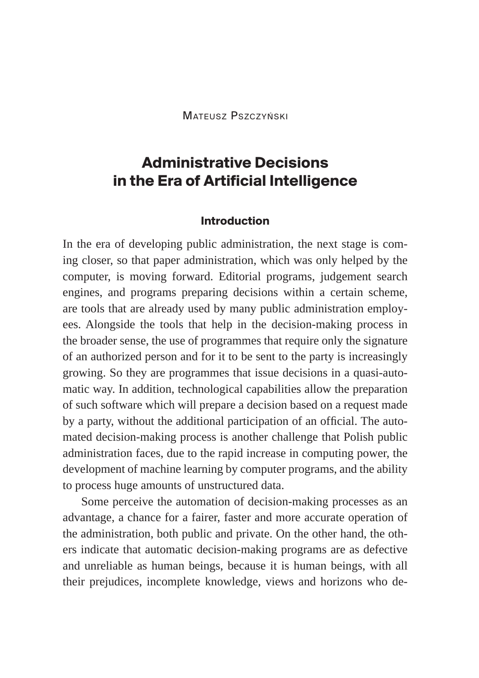Mateusz Pszczyński

# **Administrative Decisions in the Era of Artificial Intelligence**

#### **Introduction**

In the era of developing public administration, the next stage is coming closer, so that paper administration, which was only helped by the computer, is moving forward. Editorial programs, judgement search engines, and programs preparing decisions within a certain scheme, are tools that are already used by many public administration employees. Alongside the tools that help in the decision-making process in the broader sense, the use of programmes that require only the signature of an authorized person and for it to be sent to the party is increasingly growing. So they are programmes that issue decisions in a quasi-automatic way. In addition, technological capabilities allow the preparation of such software which will prepare a decision based on a request made by a party, without the additional participation of an official. The automated decision-making process is another challenge that Polish public administration faces, due to the rapid increase in computing power, the development of machine learning by computer programs, and the ability to process huge amounts of unstructured data.

Some perceive the automation of decision-making processes as an advantage, a chance for a fairer, faster and more accurate operation of the administration, both public and private. On the other hand, the others indicate that automatic decision-making programs are as defective and unreliable as human beings, because it is human beings, with all their prejudices, incomplete knowledge, views and horizons who de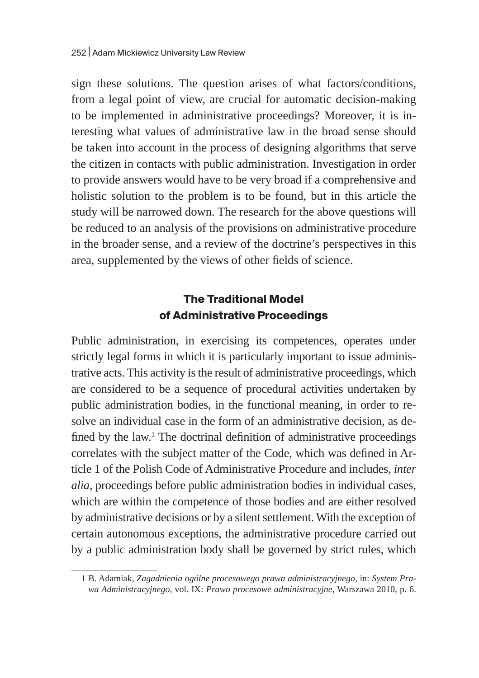sign these solutions. The question arises of what factors/conditions, from a legal point of view, are crucial for automatic decision-making to be implemented in administrative proceedings? Moreover, it is interesting what values of administrative law in the broad sense should be taken into account in the process of designing algorithms that serve the citizen in contacts with public administration. Investigation in order to provide answers would have to be very broad if a comprehensive and holistic solution to the problem is to be found, but in this article the study will be narrowed down. The research for the above questions will be reduced to an analysis of the provisions on administrative procedure in the broader sense, and a review of the doctrine's perspectives in this area, supplemented by the views of other fields of science.

## **The Traditional Model of Administrative Proceedings**

Public administration, in exercising its competences, operates under strictly legal forms in which it is particularly important to issue administrative acts. This activity is the result of administrative proceedings, which are considered to be a sequence of procedural activities undertaken by public administration bodies, in the functional meaning, in order to resolve an individual case in the form of an administrative decision, as defined by the law.<sup>1</sup> The doctrinal definition of administrative proceedings correlates with the subject matter of the Code, which was defined in Article 1 of the Polish Code of Administrative Procedure and includes, *inter alia,* proceedings before public administration bodies in individual cases, which are within the competence of those bodies and are either resolved by administrative decisions or by a silent settlement. With the exception of certain autonomous exceptions, the administrative procedure carried out by a public administration body shall be governed by strict rules, which

<sup>1</sup> B. Adamiak, *Zagadnienia ogólne procesowego prawa administracyjnego*, in: *System Prawa Administracyjnego*, vol. IX: *Prawo procesowe administracyjne*, Warszawa 2010, p. 6.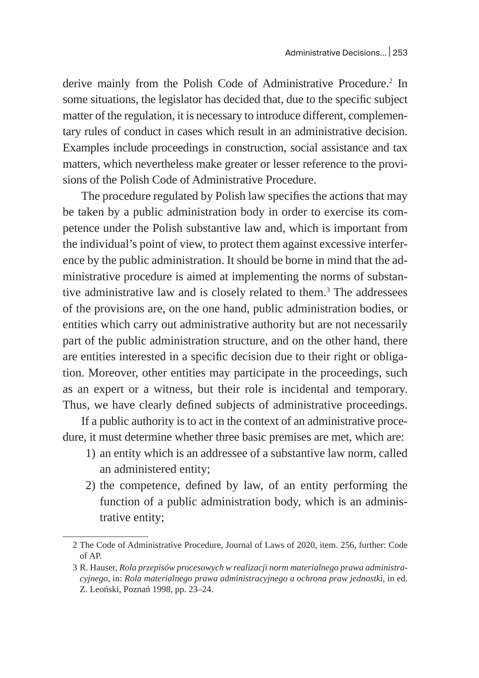derive mainly from the Polish Code of Administrative Procedure.<sup>2</sup> In some situations, the legislator has decided that, due to the specific subject matter of the regulation, it is necessary to introduce different, complementary rules of conduct in cases which result in an administrative decision. Examples include proceedings in construction, social assistance and tax matters, which nevertheless make greater or lesser reference to the provisions of the Polish Code of Administrative Procedure.

The procedure regulated by Polish law specifies the actions that may be taken by a public administration body in order to exercise its competence under the Polish substantive law and, which is important from the individual's point of view, to protect them against excessive interference by the public administration. It should be borne in mind that the administrative procedure is aimed at implementing the norms of substantive administrative law and is closely related to them.<sup>3</sup> The addressees of the provisions are, on the one hand, public administration bodies, or entities which carry out administrative authority but are not necessarily part of the public administration structure, and on the other hand, there are entities interested in a specific decision due to their right or obligation. Moreover, other entities may participate in the proceedings, such as an expert or a witness, but their role is incidental and temporary. Thus, we have clearly defined subjects of administrative proceedings.

If a public authority is to act in the context of an administrative procedure, it must determine whether three basic premises are met, which are:

- 1) an entity which is an addressee of a substantive law norm, called an administered entity;
- 2) the competence, defined by law, of an entity performing the function of a public administration body, which is an administrative entity;

<sup>2</sup> The Code of Administrative Procedure, Journal of Laws of 2020, item. 256, further: Code of AP.

<sup>3</sup> R. Hauser, *Rola przepisów procesowych w realizacji norm materialnego prawa administracyjnego*, in: *Rola materialnego prawa administracyjnego a ochrona praw jednostki*, in ed. Z. Leoński, Poznań 1998, pp. 23–24.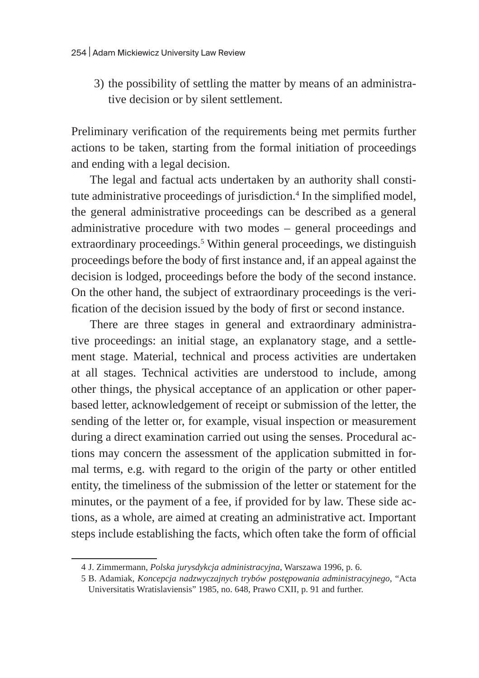3) the possibility of settling the matter by means of an administrative decision or by silent settlement.

Preliminary verification of the requirements being met permits further actions to be taken, starting from the formal initiation of proceedings and ending with a legal decision.

The legal and factual acts undertaken by an authority shall constitute administrative proceedings of jurisdiction.<sup>4</sup> In the simplified model, the general administrative proceedings can be described as a general administrative procedure with two modes – general proceedings and extraordinary proceedings.<sup>5</sup> Within general proceedings, we distinguish proceedings before the body of first instance and, if an appeal against the decision is lodged, proceedings before the body of the second instance. On the other hand, the subject of extraordinary proceedings is the verification of the decision issued by the body of first or second instance.

There are three stages in general and extraordinary administrative proceedings: an initial stage, an explanatory stage, and a settlement stage. Material, technical and process activities are undertaken at all stages. Technical activities are understood to include, among other things, the physical acceptance of an application or other paperbased letter, acknowledgement of receipt or submission of the letter, the sending of the letter or, for example, visual inspection or measurement during a direct examination carried out using the senses. Procedural actions may concern the assessment of the application submitted in formal terms, e.g. with regard to the origin of the party or other entitled entity, the timeliness of the submission of the letter or statement for the minutes, or the payment of a fee, if provided for by law. These side actions, as a whole, are aimed at creating an administrative act. Important steps include establishing the facts, which often take the form of official

<sup>4</sup> J. Zimmermann, *Polska jurysdykcja administracyjna*, Warszawa 1996, p. 6.

<sup>5</sup> B. Adamiak, *Koncepcja nadzwyczajnych trybów postępowania administracyjnego*, "Acta Universitatis Wratislaviensis" 1985, no. 648, Prawo CXII, p. 91 and further.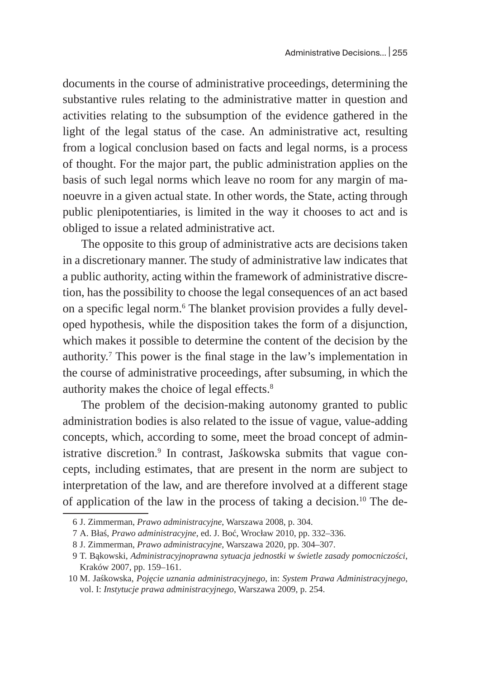documents in the course of administrative proceedings, determining the substantive rules relating to the administrative matter in question and activities relating to the subsumption of the evidence gathered in the light of the legal status of the case. An administrative act, resulting from a logical conclusion based on facts and legal norms, is a process of thought. For the major part, the public administration applies on the basis of such legal norms which leave no room for any margin of manoeuvre in a given actual state. In other words, the State, acting through public plenipotentiaries, is limited in the way it chooses to act and is obliged to issue a related administrative act.

The opposite to this group of administrative acts are decisions taken in a discretionary manner. The study of administrative law indicates that a public authority, acting within the framework of administrative discretion, has the possibility to choose the legal consequences of an act based on a specific legal norm.<sup>6</sup> The blanket provision provides a fully developed hypothesis, while the disposition takes the form of a disjunction, which makes it possible to determine the content of the decision by the authority.7 This power is the final stage in the law's implementation in the course of administrative proceedings, after subsuming, in which the authority makes the choice of legal effects.<sup>8</sup>

The problem of the decision-making autonomy granted to public administration bodies is also related to the issue of vague, value-adding concepts, which, according to some, meet the broad concept of administrative discretion.<sup>9</sup> In contrast, Jaśkowska submits that vague concepts, including estimates, that are present in the norm are subject to interpretation of the law, and are therefore involved at a different stage of application of the law in the process of taking a decision.<sup>10</sup> The de-

<sup>6</sup> J. Zimmerman, *Prawo administracyjne*, Warszawa 2008, p. 304.

<sup>7</sup> A. Błaś, *Prawo administracyjne*, ed. J. Boć, Wrocław 2010, pp. 332–336.

<sup>8</sup> J. Zimmerman, *Prawo administracyjne*, Warszawa 2020, pp. 304–307.

<sup>9</sup> T. Bąkowski, *Administracyjnoprawna sytuacja jednostki w świetle zasady pomocniczości*, Kraków 2007, pp. 159–161.

<sup>10</sup> M. Jaśkowska, *Pojęcie uznania administracyjnego*, in: *System Prawa Administracyjnego*, vol. I: *Instytucje prawa administracyjnego*, Warszawa 2009, p. 254.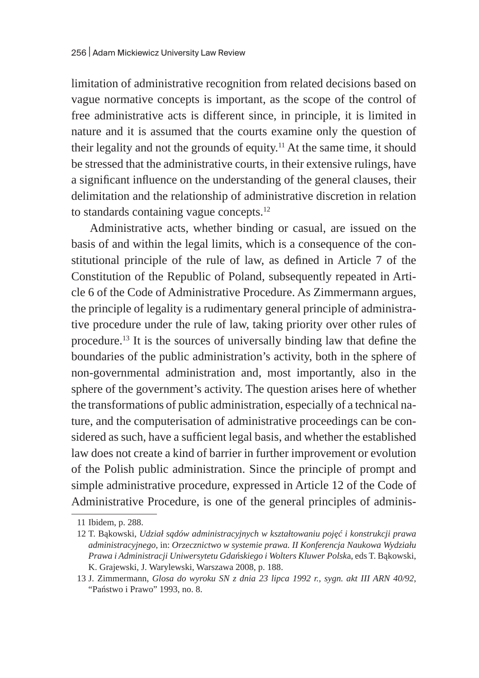limitation of administrative recognition from related decisions based on vague normative concepts is important, as the scope of the control of free administrative acts is different since, in principle, it is limited in nature and it is assumed that the courts examine only the question of their legality and not the grounds of equity.<sup>11</sup> At the same time, it should be stressed that the administrative courts, in their extensive rulings, have a significant influence on the understanding of the general clauses, their delimitation and the relationship of administrative discretion in relation to standards containing vague concepts.12

Administrative acts, whether binding or casual, are issued on the basis of and within the legal limits, which is a consequence of the constitutional principle of the rule of law, as defined in Article 7 of the Constitution of the Republic of Poland, subsequently repeated in Article 6 of the Code of Administrative Procedure. As Zimmermann argues, the principle of legality is a rudimentary general principle of administrative procedure under the rule of law, taking priority over other rules of procedure.13 It is the sources of universally binding law that define the boundaries of the public administration's activity, both in the sphere of non-governmental administration and, most importantly, also in the sphere of the government's activity. The question arises here of whether the transformations of public administration, especially of a technical nature, and the computerisation of administrative proceedings can be considered as such, have a sufficient legal basis, and whether the established law does not create a kind of barrier in further improvement or evolution of the Polish public administration. Since the principle of prompt and simple administrative procedure, expressed in Article 12 of the Code of Administrative Procedure, is one of the general principles of adminis-

<sup>11</sup> Ibidem, p. 288.

<sup>12</sup> T. Bąkowski, *Udział sądów administracyjnych w kształtowaniu pojęć i konstrukcji prawa administracyjnego*, in: *Orzecznictwo w systemie prawa. II Konferencja Naukowa Wydziału Prawa i Administracji Uniwersytetu Gdańskiego i Wolters Kluwer Polsk*a, eds T. Bąkowski, K. Grajewski, J. Warylewski, Warszawa 2008, p. 188.

<sup>13</sup> J. Zimmermann, *Glosa do wyroku SN z dnia 23 lipca 1992 r., sygn. akt III ARN 40/92*, "Państwo i Prawo" 1993, no. 8.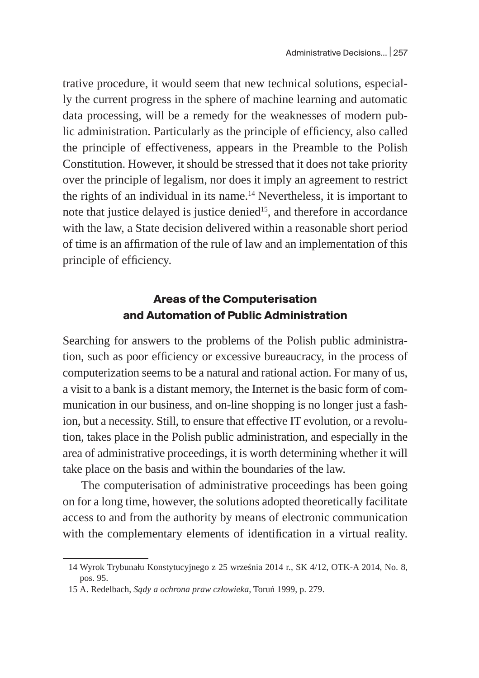trative procedure, it would seem that new technical solutions, especially the current progress in the sphere of machine learning and automatic data processing, will be a remedy for the weaknesses of modern public administration. Particularly as the principle of efficiency, also called the principle of effectiveness, appears in the Preamble to the Polish Constitution. However, it should be stressed that it does not take priority over the principle of legalism, nor does it imply an agreement to restrict the rights of an individual in its name. $14$  Nevertheless, it is important to note that justice delayed is justice denied<sup>15</sup>, and therefore in accordance with the law, a State decision delivered within a reasonable short period of time is an affirmation of the rule of law and an implementation of this principle of efficiency.

### **Areas of the Computerisation and Automation of Public Administration**

Searching for answers to the problems of the Polish public administration, such as poor efficiency or excessive bureaucracy, in the process of computerization seems to be a natural and rational action. For many of us, a visit to a bank is a distant memory, the Internet is the basic form of communication in our business, and on-line shopping is no longer just a fashion, but a necessity. Still, to ensure that effective IT evolution, or a revolution, takes place in the Polish public administration, and especially in the area of administrative proceedings, it is worth determining whether it will take place on the basis and within the boundaries of the law.

The computerisation of administrative proceedings has been going on for a long time, however, the solutions adopted theoretically facilitate access to and from the authority by means of electronic communication with the complementary elements of identification in a virtual reality.

<sup>14</sup> Wyrok Trybunału Konstytucyjnego z 25 września 2014 r., SK 4/12, OTK-A 2014, No. 8, pos. 95.

<sup>15</sup> A. Redelbach, *Sądy a ochrona praw człowieka,* Toruń 1999, p. 279.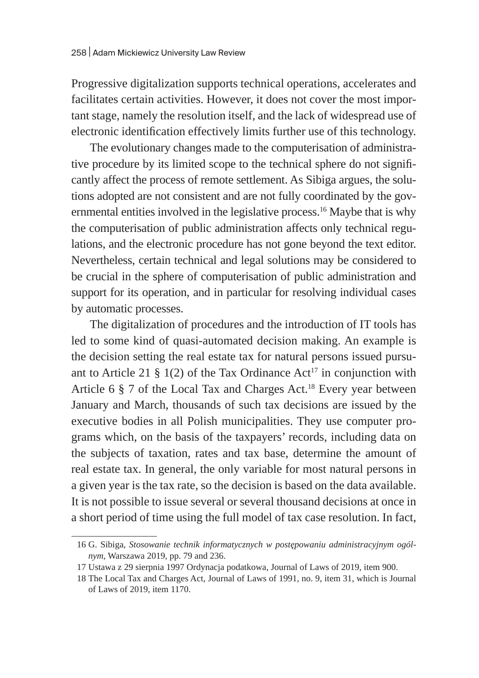Progressive digitalization supports technical operations, accelerates and facilitates certain activities. However, it does not cover the most important stage, namely the resolution itself, and the lack of widespread use of electronic identification effectively limits further use of this technology.

The evolutionary changes made to the computerisation of administrative procedure by its limited scope to the technical sphere do not significantly affect the process of remote settlement. As Sibiga argues, the solutions adopted are not consistent and are not fully coordinated by the governmental entities involved in the legislative process.<sup>16</sup> Maybe that is why the computerisation of public administration affects only technical regulations, and the electronic procedure has not gone beyond the text editor. Nevertheless, certain technical and legal solutions may be considered to be crucial in the sphere of computerisation of public administration and support for its operation, and in particular for resolving individual cases by automatic processes.

The digitalization of procedures and the introduction of IT tools has led to some kind of quasi-automated decision making. An example is the decision setting the real estate tax for natural persons issued pursuant to Article 21 § 1(2) of the Tax Ordinance  $Act^{17}$  in conjunction with Article 6  $\S$  7 of the Local Tax and Charges Act.<sup>18</sup> Every year between January and March, thousands of such tax decisions are issued by the executive bodies in all Polish municipalities. They use computer programs which, on the basis of the taxpayers' records, including data on the subjects of taxation, rates and tax base, determine the amount of real estate tax. In general, the only variable for most natural persons in a given year is the tax rate, so the decision is based on the data available. It is not possible to issue several or several thousand decisions at once in a short period of time using the full model of tax case resolution. In fact,

<sup>16</sup> G. Sibiga, *Stosowanie technik informatycznych w postępowaniu administracyjnym ogólnym*, Warszawa 2019, pp. 79 and 236.

<sup>17</sup> Ustawa z 29 sierpnia 1997 Ordynacja podatkowa, Journal of Laws of 2019, item 900.

<sup>18</sup> The Local Tax and Charges Act, Journal of Laws of 1991, no. 9, item 31, which is Journal of Laws of 2019, item 1170.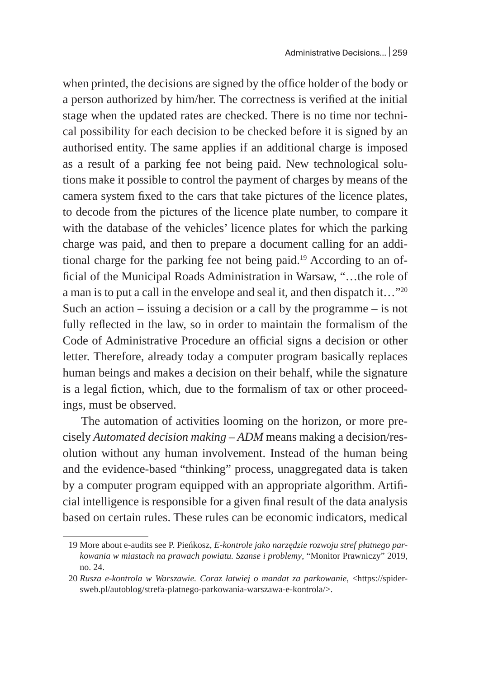when printed, the decisions are signed by the office holder of the body or a person authorized by him/her. The correctness is verified at the initial stage when the updated rates are checked. There is no time nor technical possibility for each decision to be checked before it is signed by an authorised entity. The same applies if an additional charge is imposed as a result of a parking fee not being paid. New technological solutions make it possible to control the payment of charges by means of the camera system fixed to the cars that take pictures of the licence plates, to decode from the pictures of the licence plate number, to compare it with the database of the vehicles' licence plates for which the parking charge was paid, and then to prepare a document calling for an additional charge for the parking fee not being paid.<sup>19</sup> According to an official of the Municipal Roads Administration in Warsaw, "…the role of a man is to put a call in the envelope and seal it, and then dispatch it…"<sup>20</sup> Such an action  $-$  issuing a decision or a call by the programme  $-$  is not fully reflected in the law, so in order to maintain the formalism of the Code of Administrative Procedure an official signs a decision or other letter. Therefore, already today a computer program basically replaces human beings and makes a decision on their behalf, while the signature is a legal fiction, which, due to the formalism of tax or other proceedings, must be observed.

The automation of activities looming on the horizon, or more precisely *Automated decision making – ADM* means making a decision/resolution without any human involvement. Instead of the human being and the evidence-based "thinking" process, unaggregated data is taken by a computer program equipped with an appropriate algorithm. Artificial intelligence is responsible for a given final result of the data analysis based on certain rules. These rules can be economic indicators, medical

<sup>19</sup> More about e-audits see P. Pieńkosz, *E-kontrole jako narzędzie rozwoju stref płatnego parkowania w miastach na prawach powiatu. Szanse i problemy*, "Monitor Prawniczy" 2019, no. 24.

<sup>20</sup> *Rusza e-kontrola w Warszawie. Coraz łatwiej o mandat za parkowanie*, <https://spidersweb.pl/autoblog/strefa-platnego-parkowania-warszawa-e-kontrola/>.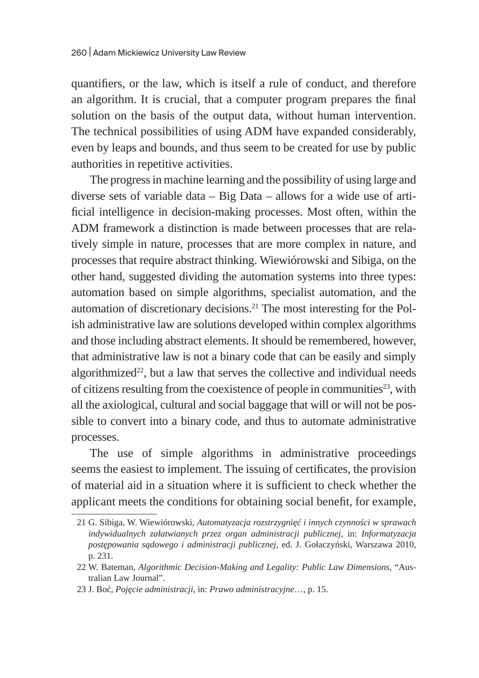quantifiers, or the law, which is itself a rule of conduct, and therefore an algorithm. It is crucial, that a computer program prepares the final solution on the basis of the output data, without human intervention. The technical possibilities of using ADM have expanded considerably, even by leaps and bounds, and thus seem to be created for use by public authorities in repetitive activities.

The progress in machine learning and the possibility of using large and diverse sets of variable data – Big Data – allows for a wide use of artificial intelligence in decision-making processes. Most often, within the ADM framework a distinction is made between processes that are relatively simple in nature, processes that are more complex in nature, and processes that require abstract thinking. Wiewiórowski and Sibiga, on the other hand, suggested dividing the automation systems into three types: automation based on simple algorithms, specialist automation, and the automation of discretionary decisions.<sup>21</sup> The most interesting for the Polish administrative law are solutions developed within complex algorithms and those including abstract elements. It should be remembered, however, that administrative law is not a binary code that can be easily and simply algorithmized $22$ , but a law that serves the collective and individual needs of citizens resulting from the coexistence of people in communities<sup>23</sup>, with all the axiological, cultural and social baggage that will or will not be possible to convert into a binary code, and thus to automate administrative processes.

The use of simple algorithms in administrative proceedings seems the easiest to implement. The issuing of certificates, the provision of material aid in a situation where it is sufficient to check whether the applicant meets the conditions for obtaining social benefit, for example,

<sup>21</sup> G. Sibiga, W. Wiewiórowski, *Automatyzacja rozstrzygnięć i innych czynności w sprawach indywidualnych załatwianych przez organ administracji publicznej*, in: *Informatyzacja postępowania sądowego i administracji publicznej*, ed. J. Gołaczyński, Warszawa 2010, p. 231.

<sup>22</sup> W. Bateman, *Algorithmic Decision-Making and Legality: Public Law Dimensions*, "Australian Law Journal".

<sup>23</sup> J. Boć, *Pojęcie administracji*, in: *Prawo administracyjne*…, p. 15.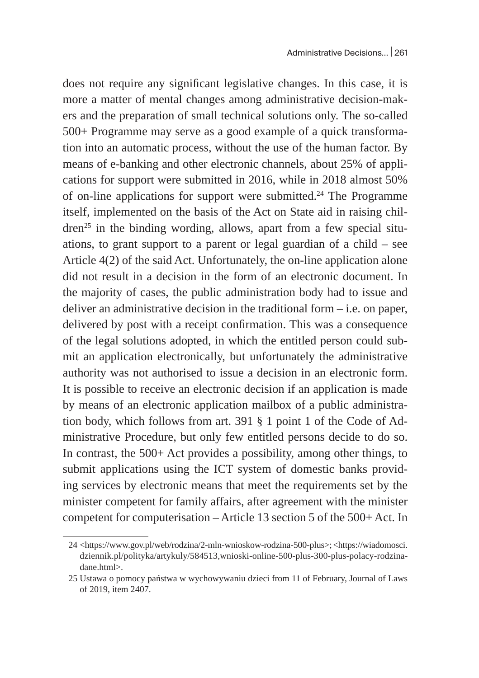does not require any significant legislative changes. In this case, it is more a matter of mental changes among administrative decision-makers and the preparation of small technical solutions only. The so-called 500+ Programme may serve as a good example of a quick transformation into an automatic process, without the use of the human factor. By means of e-banking and other electronic channels, about 25% of applications for support were submitted in 2016, while in 2018 almost 50% of on-line applications for support were submitted.<sup>24</sup> The Programme itself, implemented on the basis of the Act on State aid in raising children<sup>25</sup> in the binding wording, allows, apart from a few special situations, to grant support to a parent or legal guardian of a child – see Article 4(2) of the said Act. Unfortunately, the on-line application alone did not result in a decision in the form of an electronic document. In the majority of cases, the public administration body had to issue and deliver an administrative decision in the traditional form – i.e. on paper, delivered by post with a receipt confirmation. This was a consequence of the legal solutions adopted, in which the entitled person could submit an application electronically, but unfortunately the administrative authority was not authorised to issue a decision in an electronic form. It is possible to receive an electronic decision if an application is made by means of an electronic application mailbox of a public administration body, which follows from art. 391 § 1 point 1 of the Code of Administrative Procedure, but only few entitled persons decide to do so. In contrast, the 500+ Act provides a possibility, among other things, to submit applications using the ICT system of domestic banks providing services by electronic means that meet the requirements set by the minister competent for family affairs, after agreement with the minister competent for computerisation – Article 13 section 5 of the 500+ Act. In

<sup>24</sup> <https://www.gov.pl/web/rodzina/2-mln-wnioskow-rodzina-500-plus>; <https://wiadomosci. dziennik.pl/polityka/artykuly/584513,wnioski-online-500-plus-300-plus-polacy-rodzinadane.html>.

<sup>25</sup> Ustawa o pomocy państwa w wychowywaniu dzieci from 11 of February, Journal of Laws of 2019, item 2407.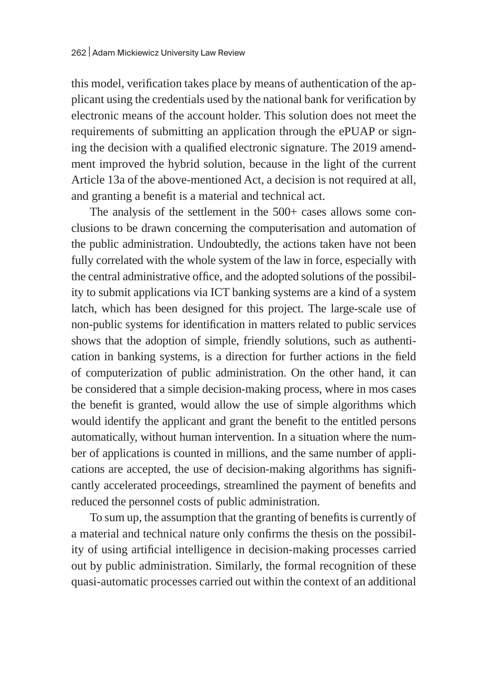this model, verification takes place by means of authentication of the applicant using the credentials used by the national bank for verification by electronic means of the account holder. This solution does not meet the requirements of submitting an application through the ePUAP or signing the decision with a qualified electronic signature. The 2019 amendment improved the hybrid solution, because in the light of the current Article 13a of the above-mentioned Act, a decision is not required at all, and granting a benefit is a material and technical act.

The analysis of the settlement in the 500+ cases allows some conclusions to be drawn concerning the computerisation and automation of the public administration. Undoubtedly, the actions taken have not been fully correlated with the whole system of the law in force, especially with the central administrative office, and the adopted solutions of the possibility to submit applications via ICT banking systems are a kind of a system latch, which has been designed for this project. The large-scale use of non-public systems for identification in matters related to public services shows that the adoption of simple, friendly solutions, such as authentication in banking systems, is a direction for further actions in the field of computerization of public administration. On the other hand, it can be considered that a simple decision-making process, where in mos cases the benefit is granted, would allow the use of simple algorithms which would identify the applicant and grant the benefit to the entitled persons automatically, without human intervention. In a situation where the number of applications is counted in millions, and the same number of applications are accepted, the use of decision-making algorithms has significantly accelerated proceedings, streamlined the payment of benefits and reduced the personnel costs of public administration.

To sum up, the assumption that the granting of benefits is currently of a material and technical nature only confirms the thesis on the possibility of using artificial intelligence in decision-making processes carried out by public administration. Similarly, the formal recognition of these quasi-automatic processes carried out within the context of an additional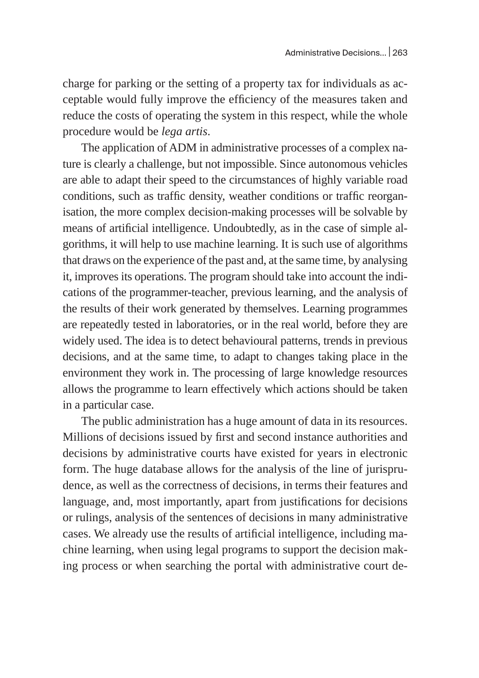charge for parking or the setting of a property tax for individuals as acceptable would fully improve the efficiency of the measures taken and reduce the costs of operating the system in this respect, while the whole procedure would be *lega artis*.

The application of ADM in administrative processes of a complex nature is clearly a challenge, but not impossible. Since autonomous vehicles are able to adapt their speed to the circumstances of highly variable road conditions, such as traffic density, weather conditions or traffic reorganisation, the more complex decision-making processes will be solvable by means of artificial intelligence. Undoubtedly, as in the case of simple algorithms, it will help to use machine learning. It is such use of algorithms that draws on the experience of the past and, at the same time, by analysing it, improves its operations. The program should take into account the indications of the programmer-teacher, previous learning, and the analysis of the results of their work generated by themselves. Learning programmes are repeatedly tested in laboratories, or in the real world, before they are widely used. The idea is to detect behavioural patterns, trends in previous decisions, and at the same time, to adapt to changes taking place in the environment they work in. The processing of large knowledge resources allows the programme to learn effectively which actions should be taken in a particular case.

The public administration has a huge amount of data in its resources. Millions of decisions issued by first and second instance authorities and decisions by administrative courts have existed for years in electronic form. The huge database allows for the analysis of the line of jurisprudence, as well as the correctness of decisions, in terms their features and language, and, most importantly, apart from justifications for decisions or rulings, analysis of the sentences of decisions in many administrative cases. We already use the results of artificial intelligence, including machine learning, when using legal programs to support the decision making process or when searching the portal with administrative court de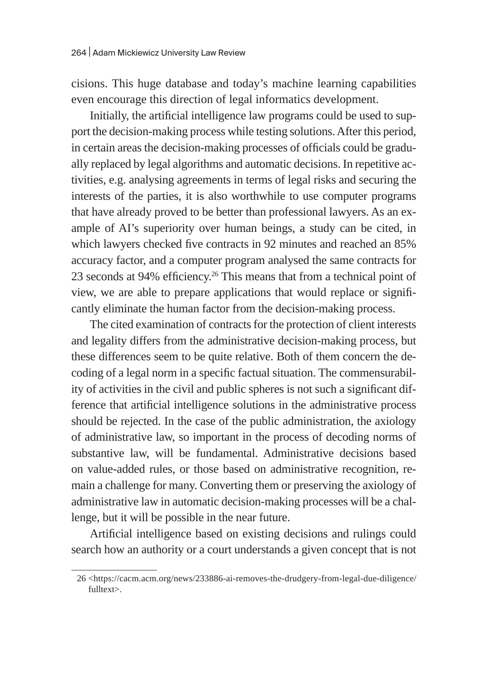cisions. This huge database and today's machine learning capabilities even encourage this direction of legal informatics development.

Initially, the artificial intelligence law programs could be used to support the decision-making process while testing solutions. After this period, in certain areas the decision-making processes of officials could be gradually replaced by legal algorithms and automatic decisions. In repetitive activities, e.g. analysing agreements in terms of legal risks and securing the interests of the parties, it is also worthwhile to use computer programs that have already proved to be better than professional lawyers. As an example of AI's superiority over human beings, a study can be cited, in which lawyers checked five contracts in 92 minutes and reached an 85% accuracy factor, and a computer program analysed the same contracts for 23 seconds at 94% efficiency.<sup>26</sup> This means that from a technical point of view, we are able to prepare applications that would replace or significantly eliminate the human factor from the decision-making process.

The cited examination of contracts for the protection of client interests and legality differs from the administrative decision-making process, but these differences seem to be quite relative. Both of them concern the decoding of a legal norm in a specific factual situation. The commensurability of activities in the civil and public spheres is not such a significant difference that artificial intelligence solutions in the administrative process should be rejected. In the case of the public administration, the axiology of administrative law, so important in the process of decoding norms of substantive law, will be fundamental. Administrative decisions based on value-added rules, or those based on administrative recognition, remain a challenge for many. Converting them or preserving the axiology of administrative law in automatic decision-making processes will be a challenge, but it will be possible in the near future.

Artificial intelligence based on existing decisions and rulings could search how an authority or a court understands a given concept that is not

<sup>26</sup> <https://cacm.acm.org/news/233886-ai-removes-the-drudgery-from-legal-due-diligence/ fulltext>.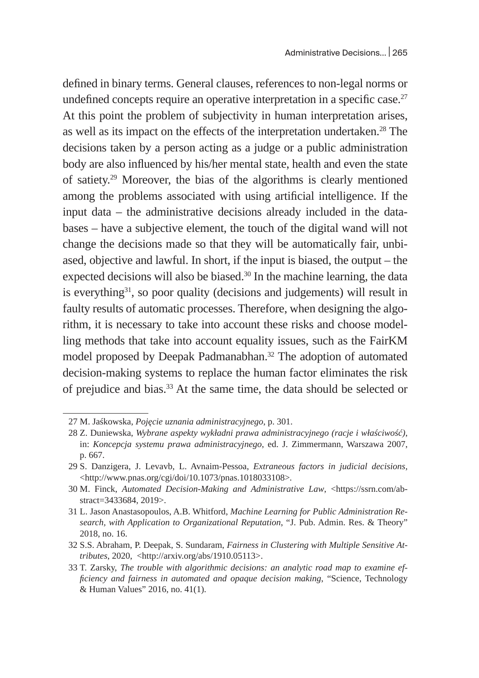defined in binary terms. General clauses, references to non-legal norms or undefined concepts require an operative interpretation in a specific case. $27$ At this point the problem of subjectivity in human interpretation arises, as well as its impact on the effects of the interpretation undertaken.<sup>28</sup> The decisions taken by a person acting as a judge or a public administration body are also influenced by his/her mental state, health and even the state of satiety.<sup>29</sup> Moreover, the bias of the algorithms is clearly mentioned among the problems associated with using artificial intelligence. If the input data – the administrative decisions already included in the databases – have a subjective element, the touch of the digital wand will not change the decisions made so that they will be automatically fair, unbiased, objective and lawful. In short, if the input is biased, the output – the expected decisions will also be biased.<sup>30</sup> In the machine learning, the data is everything $31$ , so poor quality (decisions and judgements) will result in faulty results of automatic processes. Therefore, when designing the algorithm, it is necessary to take into account these risks and choose modelling methods that take into account equality issues, such as the FairKM model proposed by Deepak Padmanabhan.<sup>32</sup> The adoption of automated decision-making systems to replace the human factor eliminates the risk of prejudice and bias.33 At the same time, the data should be selected or

<sup>27</sup> M. Jaśkowska, *Pojęcie uznania administracyjnego*, p. 301.

<sup>28</sup> Z. Duniewska, *Wybrane aspekty wykładni prawa administracyjnego (racje i właściwość)*, in: *Koncepcja systemu prawa administracyjnego*, ed. J. Zimmermann, Warszawa 2007, p. 667.

<sup>29</sup> S. Danzigera, J. Levavb, L. Avnaim-Pessoa, *Extraneous factors in judicial decisions,*  <http://www.pnas.org/cgi/doi/10.1073/pnas.1018033108>*.*

<sup>30</sup> M. Finck, *Automated Decision-Making and Administrative Law*, <https://ssrn.com/abstract=3433684, 2019>.

<sup>31</sup> L. Jason Anastasopoulos, A.B. Whitford, *Machine Learning for Public Administration Research, with Application to Organizational Reputation*, "J. Pub. Admin. Res. & Theory" 2018, no. 16.

<sup>32</sup> S.S. Abraham, P. Deepak, S. Sundaram, *Fairness in Clustering with Multiple Sensitive Attributes*, 2020, <http://arxiv.org/abs/1910.05113>.

<sup>33</sup> T. Zarsky, *The trouble with algorithmic decisions: an analytic road map to examine efficiency and fairness in automated and opaque decision making*, "Science, Technology & Human Values" 2016, no. 41(1).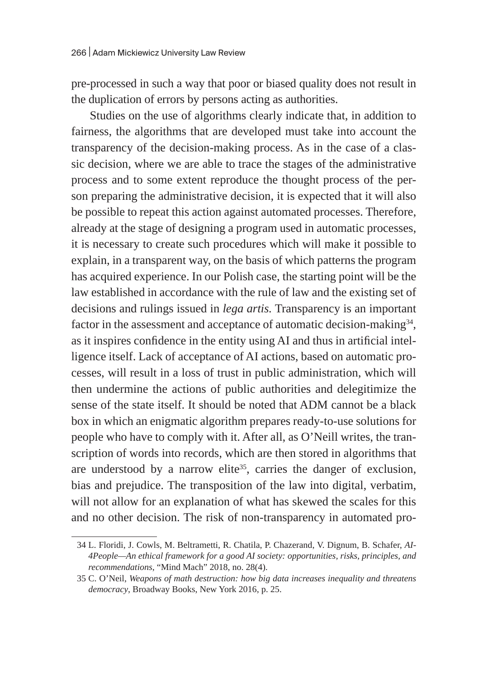pre-processed in such a way that poor or biased quality does not result in the duplication of errors by persons acting as authorities.

Studies on the use of algorithms clearly indicate that, in addition to fairness, the algorithms that are developed must take into account the transparency of the decision-making process. As in the case of a classic decision, where we are able to trace the stages of the administrative process and to some extent reproduce the thought process of the person preparing the administrative decision, it is expected that it will also be possible to repeat this action against automated processes. Therefore, already at the stage of designing a program used in automatic processes, it is necessary to create such procedures which will make it possible to explain, in a transparent way, on the basis of which patterns the program has acquired experience. In our Polish case, the starting point will be the law established in accordance with the rule of law and the existing set of decisions and rulings issued in *lega artis.* Transparency is an important factor in the assessment and acceptance of automatic decision-making $34$ , as it inspires confidence in the entity using AI and thus in artificial intelligence itself. Lack of acceptance of AI actions, based on automatic processes, will result in a loss of trust in public administration, which will then undermine the actions of public authorities and delegitimize the sense of the state itself. It should be noted that ADM cannot be a black box in which an enigmatic algorithm prepares ready-to-use solutions for people who have to comply with it. After all, as O'Neill writes, the transcription of words into records, which are then stored in algorithms that are understood by a narrow elite<sup>35</sup>, carries the danger of exclusion, bias and prejudice. The transposition of the law into digital, verbatim, will not allow for an explanation of what has skewed the scales for this and no other decision. The risk of non-transparency in automated pro-

<sup>34</sup> L. Floridi, J. Cowls, M. Beltrametti, R. Chatila, P. Chazerand, V. Dignum, B. Schafer, *AI-4People—An ethical framework for a good AI society: opportunities, risks, principles, and recommendations*, "Mind Mach" 2018, no. 28(4).

<sup>35</sup> C. O'Neil, *Weapons of math destruction: how big data increases inequality and threatens democracy*, Broadway Books, New York 2016, p. 25.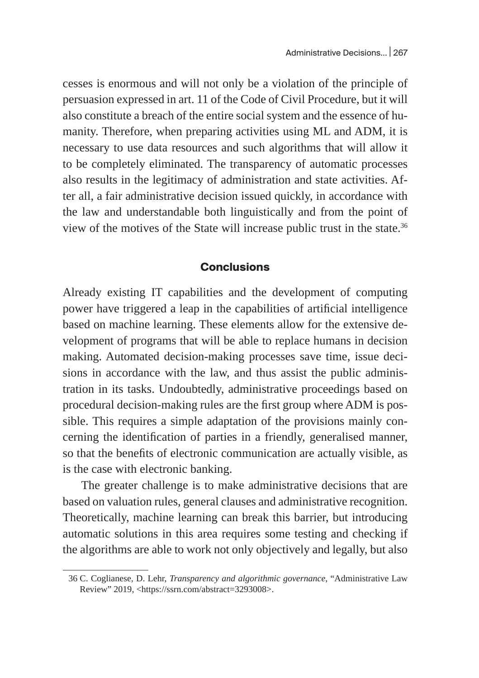cesses is enormous and will not only be a violation of the principle of persuasion expressed in art. 11 of the Code of Civil Procedure, but it will also constitute a breach of the entire social system and the essence of humanity. Therefore, when preparing activities using ML and ADM, it is necessary to use data resources and such algorithms that will allow it to be completely eliminated. The transparency of automatic processes also results in the legitimacy of administration and state activities. After all, a fair administrative decision issued quickly, in accordance with the law and understandable both linguistically and from the point of view of the motives of the State will increase public trust in the state.<sup>36</sup>

#### **Conclusions**

Already existing IT capabilities and the development of computing power have triggered a leap in the capabilities of artificial intelligence based on machine learning. These elements allow for the extensive development of programs that will be able to replace humans in decision making. Automated decision-making processes save time, issue decisions in accordance with the law, and thus assist the public administration in its tasks. Undoubtedly, administrative proceedings based on procedural decision-making rules are the first group where ADM is possible. This requires a simple adaptation of the provisions mainly concerning the identification of parties in a friendly, generalised manner, so that the benefits of electronic communication are actually visible, as is the case with electronic banking.

The greater challenge is to make administrative decisions that are based on valuation rules, general clauses and administrative recognition. Theoretically, machine learning can break this barrier, but introducing automatic solutions in this area requires some testing and checking if the algorithms are able to work not only objectively and legally, but also

<sup>36</sup> C. Coglianese, D. Lehr, *Transparency and algorithmic governance*, "Administrative Law Review" 2019, <https://ssrn.com/abstract=3293008>.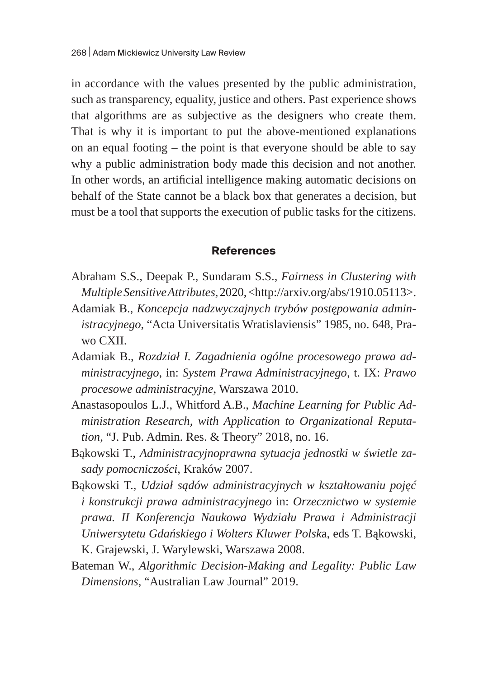in accordance with the values presented by the public administration, such as transparency, equality, justice and others. Past experience shows that algorithms are as subjective as the designers who create them. That is why it is important to put the above-mentioned explanations on an equal footing – the point is that everyone should be able to say why a public administration body made this decision and not another. In other words, an artificial intelligence making automatic decisions on behalf of the State cannot be a black box that generates a decision, but must be a tool that supports the execution of public tasks for the citizens.

#### **References**

- Abraham S.S., Deepak P., Sundaram S.S., *Fairness in Clustering with Multiple Sensitive Attributes*, 2020, <http://arxiv.org/abs/1910.05113>.
- Adamiak B., *Koncepcja nadzwyczajnych trybów postępowania administracyjnego*, "Acta Universitatis Wratislaviensis" 1985, no. 648, Prawo CXII.
- Adamiak B., *Rozdział I. Zagadnienia ogólne procesowego prawa administracyjnego*, in: *System Prawa Administracyjnego*, t. IX: *Prawo procesowe administracyjne*, Warszawa 2010.
- Anastasopoulos L.J., Whitford A.B., *Machine Learning for Public Administration Research, with Application to Organizational Reputation*, "J. Pub. Admin. Res. & Theory" 2018, no. 16.
- Bąkowski T., *Administracyjnoprawna sytuacja jednostki w świetle zasady pomocniczości*, Kraków 2007.
- Bąkowski T., *Udział sądów administracyjnych w kształtowaniu pojęć i konstrukcji prawa administracyjnego* in: *Orzecznictwo w systemie prawa. II Konferencja Naukowa Wydziału Prawa i Administracji Uniwersytetu Gdańskiego i Wolters Kluwer Polsk*a, eds T. Bąkowski, K. Grajewski, J. Warylewski, Warszawa 2008.
- Bateman W., *Algorithmic Decision-Making and Legality: Public Law Dimensions*, "Australian Law Journal" 2019.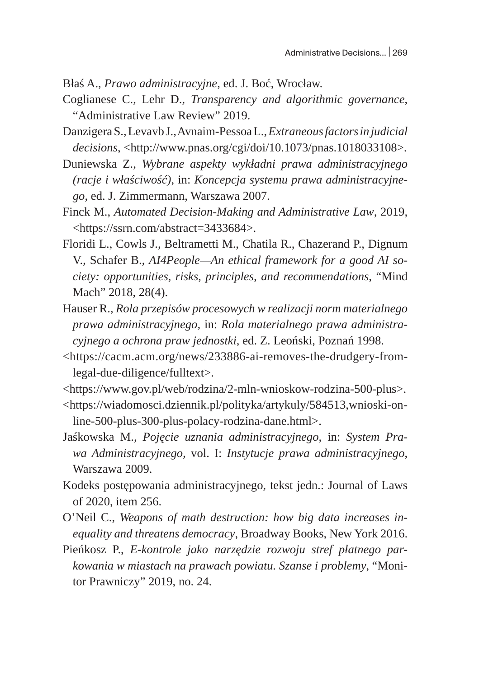- Błaś A., *Prawo administracyjne*, ed. J. Boć, Wrocław.
- Coglianese C., Lehr D., *Transparency and algorithmic governance*, "Administrative Law Review" 2019.
- Danzigera S., Levavb J., Avnaim-Pessoa L., *Extraneous factors in judicial decisions*, <http://www.pnas.org/cgi/doi/10.1073/pnas.1018033108>.
- Duniewska Z., *Wybrane aspekty wykładni prawa administracyjnego (racje i właściwość)*, in: *Koncepcja systemu prawa administracyjnego*, ed. J. Zimmermann, Warszawa 2007.
- Finck M., *Automated Decision-Making and Administrative Law*, 2019, <https://ssrn.com/abstract=3433684>.
- Floridi L., Cowls J., Beltrametti M., Chatila R., Chazerand P., Dignum V., Schafer B., *AI4People—An ethical framework for a good AI society: opportunities, risks, principles, and recommendations*, "Mind Mach" 2018, 28(4).
- Hauser R., *Rola przepisów procesowych w realizacji norm materialnego prawa administracyjnego,* in: *Rola materialnego prawa administracyjnego a ochrona praw jednostki*, ed. Z. Leoński, Poznań 1998.
- <https://cacm.acm.org/news/233886-ai-removes-the-drudgery-fromlegal-due-diligence/fulltext>.
- <https://www.gov.pl/web/rodzina/2-mln-wnioskow-rodzina-500-plus>.
- <https://wiadomosci.dziennik.pl/polityka/artykuly/584513,wnioski-online-500-plus-300-plus-polacy-rodzina-dane.html>.
- Jaśkowska M., *Pojęcie uznania administracyjnego*, in: *System Prawa Administracyjnego*, vol. I: *Instytucje prawa administracyjnego*, Warszawa 2009.
- Kodeks postępowania administracyjnego, tekst jedn.: Journal of Laws of 2020, item 256.
- O'Neil C., *Weapons of math destruction: how big data increases inequality and threatens democracy*, Broadway Books, New York 2016.
- Pieńkosz P., *E-kontrole jako narzędzie rozwoju stref płatnego parkowania w miastach na prawach powiatu. Szanse i problemy*, "Monitor Prawniczy" 2019, no. 24.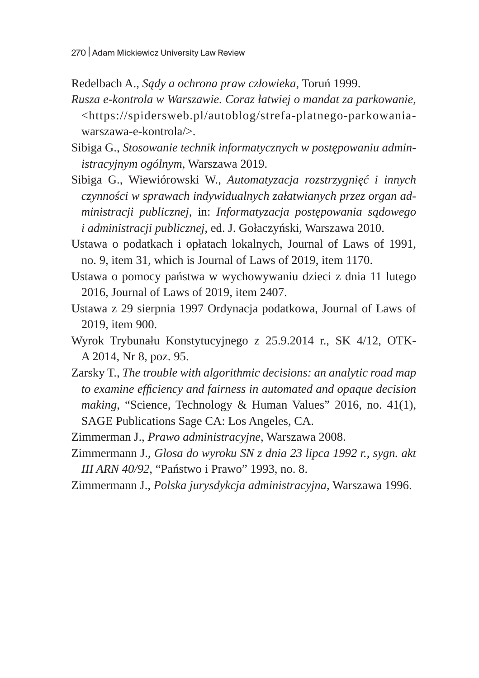Redelbach A., *Sądy a ochrona praw człowieka*, Toruń 1999.

- *Rusza e-kontrola w Warszawie. Coraz łatwiej o mandat za parkowanie*, <https://spidersweb.pl/autoblog/strefa-platnego-parkowaniawarszawa-e-kontrola/>.
- Sibiga G., *Stosowanie technik informatycznych w postępowaniu administracyjnym ogólnym*, Warszawa 2019.
- Sibiga G., Wiewiórowski W., *Automatyzacja rozstrzygnięć i innych czynności w sprawach indywidualnych załatwianych przez organ administracji publicznej*, in: *Informatyzacja postępowania sądowego i administracji publicznej*, ed. J. Gołaczyński, Warszawa 2010.
- Ustawa o podatkach i opłatach lokalnych, Journal of Laws of 1991, no. 9, item 31, which is Journal of Laws of 2019, item 1170.
- Ustawa o pomocy państwa w wychowywaniu dzieci z dnia 11 lutego 2016, Journal of Laws of 2019, item 2407.
- Ustawa z 29 sierpnia 1997 Ordynacja podatkowa, Journal of Laws of 2019, item 900.
- Wyrok Trybunału Konstytucyjnego z 25.9.2014 r., SK 4/12, OTK-A 2014, Nr 8, poz. 95.
- Zarsky T., *The trouble with algorithmic decisions: an analytic road map to examine efficiency and fairness in automated and opaque decision making*, "Science, Technology & Human Values" 2016, no. 41(1), SAGE Publications Sage CA: Los Angeles, CA.
- Zimmerman J., *Prawo administracyjne*, Warszawa 2008.
- Zimmermann J., *Glosa do wyroku SN z dnia 23 lipca 1992 r., sygn. akt III ARN 40/92*, "Państwo i Prawo" 1993, no. 8.
- Zimmermann J., *Polska jurysdykcja administracyjna*, Warszawa 1996.